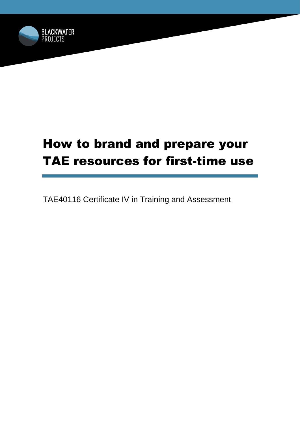

# How to brand and prepare your TAE resources for first-time use

TAE40116 Certificate IV in Training and Assessment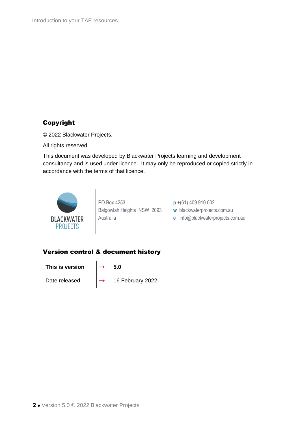### Copyright

© 2022 Blackwater Projects.

All rights reserved.

This document was developed by Blackwater Projects learning and development consultancy and is used under licence. It may only be reproduced or copied strictly in accordance with the terms of that licence.



PO Box 4253 Balgowlah Heights NSW 2093 Australia

**p** +(61) 409 910 002

- **w** blackwaterprojects.com.au
- **e** info@blackwaterprojects.com.au

### Version control & document history

This is version  $\rightarrow$  5.0

Date released  $\begin{array}{|c|c|c|}\n\hline\n\end{array}$  16 February 2022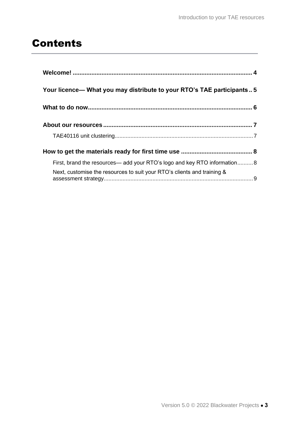## Contents

| Your licence— What you may distribute to your RTO's TAE participants5     |
|---------------------------------------------------------------------------|
|                                                                           |
|                                                                           |
|                                                                           |
|                                                                           |
| First, brand the resources— add your RTO's logo and key RTO information 8 |
| Next, customise the resources to suit your RTO's clients and training &   |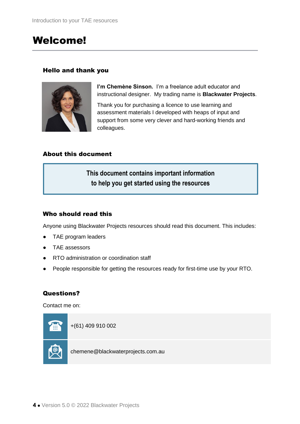### Welcome!

#### Hello and thank you



**I'm Chemène Sinson.** I'm a freelance adult educator and instructional designer. My trading name is **Blackwater Projects**.

Thank you for purchasing a licence to use learning and assessment materials I developed with heaps of input and support from some very clever and hard-working friends and colleagues.

#### About this document

**This document contains important information to help you get started using the resources**

#### Who should read this

Anyone using Blackwater Projects resources should read this document. This includes:

- TAE program leaders
- TAE assessors
- RTO administration or coordination staff
- People responsible for getting the resources ready for first-time use by your RTO.

#### Questions?

Contact me on:

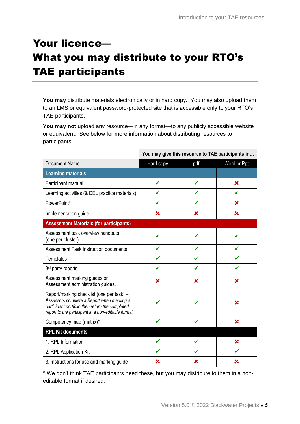# Your licence— What you may distribute to your RTO's TAE participants

**You may** distribute materials electronically or in hard copy. You may also upload them to an LMS or equivalent password-protected site that is accessible only to your RTO's TAE participants.

**You may not** upload any resource—in any format—to any publicly accessible website or equivalent. See below for more information about distributing resources to participants.

|                                                                                                                                                                                                   | You may give this resource to TAE participants in |     |             |
|---------------------------------------------------------------------------------------------------------------------------------------------------------------------------------------------------|---------------------------------------------------|-----|-------------|
| <b>Document Name</b>                                                                                                                                                                              | Hard copy                                         | pdf | Word or Ppt |
| <b>Learning materials</b>                                                                                                                                                                         |                                                   |     |             |
| Participant manual                                                                                                                                                                                |                                                   |     | x           |
| Learning activities (& DEL practice materials)                                                                                                                                                    |                                                   |     | ✓           |
| PowerPoint*                                                                                                                                                                                       |                                                   |     | x           |
| Implementation guide                                                                                                                                                                              | ×                                                 | x   | ×           |
| <b>Assessment Materials (for participants)</b>                                                                                                                                                    |                                                   |     |             |
| Assessment task overview handouts<br>(one per cluster)                                                                                                                                            |                                                   |     |             |
| Assessment Task Instruction documents                                                                                                                                                             |                                                   |     |             |
| Templates                                                                                                                                                                                         |                                                   |     |             |
| 3 <sup>rd</sup> party reports                                                                                                                                                                     |                                                   |     |             |
| Assessment marking guides or<br>Assessment administration guides.                                                                                                                                 | x                                                 | x   | x           |
| Report/marking checklist (one per task) -<br>Assessors complete a Report when marking a<br>participant portfolio then return the completed<br>report to the participant in a non-editable format. |                                                   |     | x           |
| Competency map (matrix)*                                                                                                                                                                          |                                                   |     | ×           |
| <b>RPL Kit documents</b>                                                                                                                                                                          |                                                   |     |             |
| 1. RPL Information                                                                                                                                                                                |                                                   |     | x           |
| 2. RPL Application Kit                                                                                                                                                                            |                                                   |     |             |
| 3. Instructions for use and marking guide                                                                                                                                                         | x                                                 | x   | x           |

\* We don't think TAE participants need these, but you may distribute to them in a noneditable format if desired.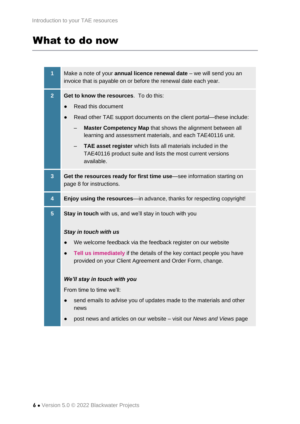## What to do now

| 1                       | Make a note of your <b>annual licence renewal date</b> – we will send you an<br>invoice that is payable on or before the renewal date each year.                                                                                                                                                                                                                                                                          |
|-------------------------|---------------------------------------------------------------------------------------------------------------------------------------------------------------------------------------------------------------------------------------------------------------------------------------------------------------------------------------------------------------------------------------------------------------------------|
| $\overline{2}$          | Get to know the resources. To do this:<br>Read this document<br>$\bullet$<br>Read other TAE support documents on the client portal—these include:<br>Master Competency Map that shows the alignment between all<br>learning and assessment materials, and each TAE40116 unit.<br>TAE asset register which lists all materials included in the<br>TAE40116 product suite and lists the most current versions<br>available. |
| $\overline{\mathbf{3}}$ | Get the resources ready for first time use-see information starting on<br>page 8 for instructions.                                                                                                                                                                                                                                                                                                                        |
|                         |                                                                                                                                                                                                                                                                                                                                                                                                                           |
| 4                       | <b>Enjoy using the resources</b> —in advance, thanks for respecting copyright!                                                                                                                                                                                                                                                                                                                                            |
| $5\phantom{.}$          | Stay in touch with us, and we'll stay in touch with you<br>Stay in touch with us<br>We welcome feedback via the feedback register on our website                                                                                                                                                                                                                                                                          |
|                         | Tell us immediately if the details of the key contact people you have<br>provided on your Client Agreement and Order Form, change.                                                                                                                                                                                                                                                                                        |
|                         | We'll stay in touch with you                                                                                                                                                                                                                                                                                                                                                                                              |
|                         | From time to time we'll:                                                                                                                                                                                                                                                                                                                                                                                                  |

● post news and articles on our website – visit our *News and Views* page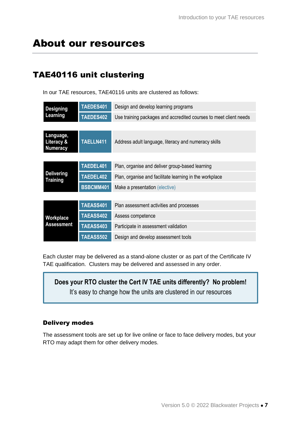## About our resources

### TAE40116 unit clustering

In our TAE resources, TAE40116 units are clustered as follows:

| <b>Designing</b><br>Learning               | TAEDES401 | Design and develop learning programs                              |
|--------------------------------------------|-----------|-------------------------------------------------------------------|
|                                            | TAEDES402 | Use training packages and accredited courses to meet client needs |
|                                            |           |                                                                   |
| Language,<br>Literacy &<br><b>Numeracy</b> | TAELLN411 | Address adult language, literacy and numeracy skills              |
|                                            |           |                                                                   |
| <b>Delivering</b><br><b>Training</b>       | TAEDEL401 | Plan, organise and deliver group-based learning                   |
|                                            | TAEDEL402 | Plan, organise and facilitate learning in the workplace           |
|                                            | BSBCMM401 | Make a presentation (elective)                                    |
|                                            |           |                                                                   |
|                                            | TAEASS401 | Plan assessment activities and processes                          |
| Workplace<br><b>Assessment</b>             | TAEASS402 | Assess competence                                                 |
|                                            | TAEASS403 | Participate in assessment validation                              |
|                                            | TAEASS502 | Design and develop assessment tools                               |

Each cluster may be delivered as a stand-alone cluster or as part of the Certificate IV TAE qualification. Clusters may be delivered and assessed in any order.

**Does your RTO cluster the Cert IV TAE units differently? No problem!** It's easy to change how the units are clustered in our resources

### Delivery modes

The assessment tools are set up for live online or face to face delivery modes, but your RTO may adapt them for other delivery modes.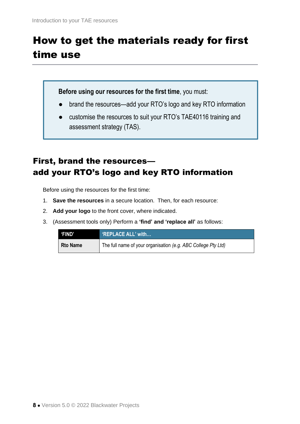# <span id="page-7-0"></span>How to get the materials ready for first time use

**Before using our resources for the first time**, you must:

- **●** brand the resources—add your RTO's logo and key RTO information
- customise the resources to suit your RTO's TAE40116 training and assessment strategy (TAS).

### First, brand the resources add your RTO's logo and key RTO information

Before using the resources for the first time:

- 1. **Save the resources** in a secure location. Then, for each resource:
- 2. **Add your logo** to the front cover, where indicated.
- 3. (Assessment tools only) Perform a **'find' and 'replace all'** as follows:

| <b>'FIND'</b>   | 'REPLACE ALL' with                                            |
|-----------------|---------------------------------------------------------------|
| <b>Rto Name</b> | The full name of your organisation (e.g. ABC College Pty Ltd) |